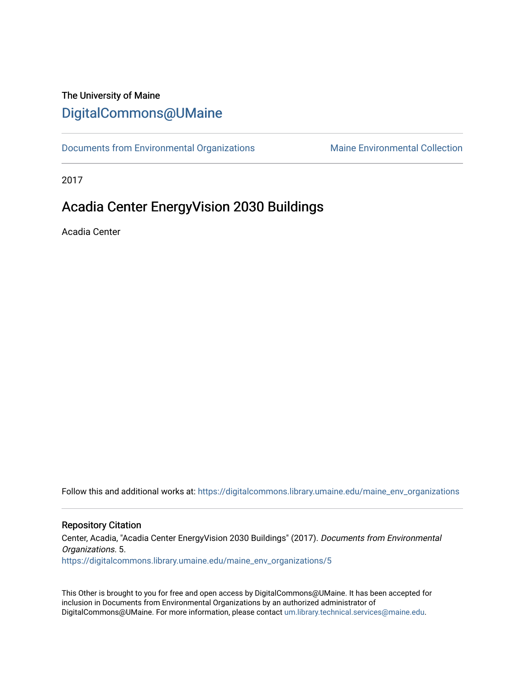#### The University of Maine [DigitalCommons@UMaine](https://digitalcommons.library.umaine.edu/)

[Documents from Environmental Organizations](https://digitalcommons.library.umaine.edu/maine_env_organizations) Maine Environmental Collection

2017

#### Acadia Center EnergyVision 2030 Buildings

Acadia Center

Follow this and additional works at: [https://digitalcommons.library.umaine.edu/maine\\_env\\_organizations](https://digitalcommons.library.umaine.edu/maine_env_organizations?utm_source=digitalcommons.library.umaine.edu%2Fmaine_env_organizations%2F5&utm_medium=PDF&utm_campaign=PDFCoverPages)

#### Repository Citation

Center, Acadia, "Acadia Center EnergyVision 2030 Buildings" (2017). Documents from Environmental Organizations. 5. [https://digitalcommons.library.umaine.edu/maine\\_env\\_organizations/5](https://digitalcommons.library.umaine.edu/maine_env_organizations/5?utm_source=digitalcommons.library.umaine.edu%2Fmaine_env_organizations%2F5&utm_medium=PDF&utm_campaign=PDFCoverPages) 

This Other is brought to you for free and open access by DigitalCommons@UMaine. It has been accepted for inclusion in Documents from Environmental Organizations by an authorized administrator of DigitalCommons@UMaine. For more information, please contact [um.library.technical.services@maine.edu](mailto:um.library.technical.services@maine.edu).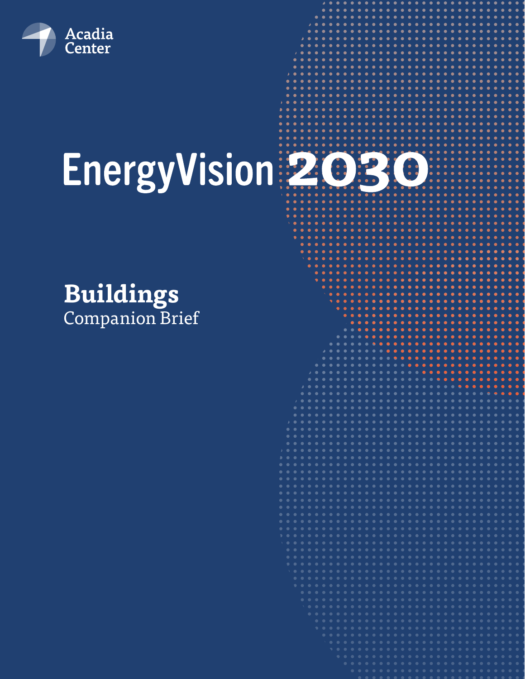

# EnergyVision 2030

### **Buildings** Companion Brief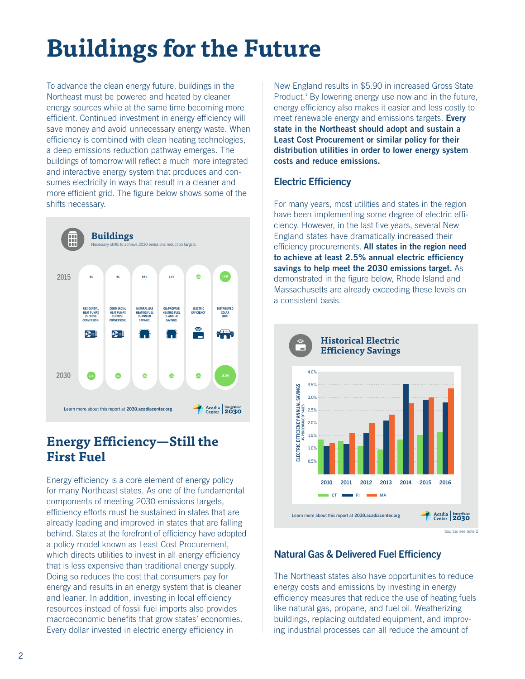## **Buildings for the Future**

To advance the clean energy future, buildings in the Northeast must be powered and heated by cleaner energy sources while at the same time becoming more efficient. Continued investment in energy efficiency will save money and avoid unnecessary energy waste. When efficiency is combined with clean heating technologies, a deep emissions reduction pathway emerges. The buildings of tomorrow will reflect a much more integrated and interactive energy system that produces and consumes electricity in ways that result in a cleaner and more efficient grid. The figure below shows some of the shifts necessary.



#### **Energy Efficiency—Still the First Fuel**

Energy efficiency is a core element of energy policy for many Northeast states. As one of the fundamental components of meeting 2030 emissions targets, efficiency efforts must be sustained in states that are already leading and improved in states that are falling behind. States at the forefront of efficiency have adopted a policy model known as Least Cost Procurement, which directs utilities to invest in all energy efficiency that is less expensive than traditional energy supply. Doing so reduces the cost that consumers pay for energy and results in an energy system that is cleaner and leaner. In addition, investing in local efficiency resources instead of fossil fuel imports also provides macroeconomic benefits that grow states' economies. Every dollar invested in electric energy efficiency in

New England results in \$5.90 in increased Gross State Product.<sup>1</sup> By lowering energy use now and in the future, energy efficiency also makes it easier and less costly to meet renewable energy and emissions targets. **Every state in the Northeast should adopt and sustain a Least Cost Procurement or similar policy for their distribution utilities in order to lower energy system costs and reduce emissions.** 

#### Electric Efficiency

For many years, most utilities and states in the region have been implementing some degree of electric efficiency. However, in the last five years, several New England states have dramatically increased their efficiency procurements. **All states in the region need to achieve at least 2.5% annual electric efficiency savings to help meet the 2030 emissions target.** As demonstrated in the figure below, Rhode Island and Massachusetts are already exceeding these levels on a consistent basis.



#### Natural Gas & Delivered Fuel Efficiency

The Northeast states also have opportunities to reduce energy costs and emissions by investing in energy efficiency measures that reduce the use of heating fuels like natural gas, propane, and fuel oil. Weatherizing buildings, replacing outdated equipment, and improving industrial processes can all reduce the amount of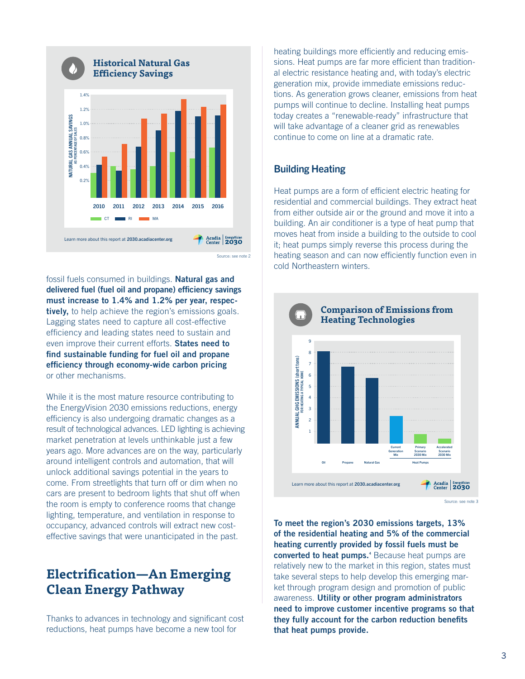

fossil fuels consumed in buildings. **Natural gas and delivered fuel (fuel oil and propane) efficiency savings must increase to 1.4% and 1.2% per year, respectively,** to help achieve the region's emissions goals. Lagging states need to capture all cost-effective efficiency and leading states need to sustain and even improve their current efforts. **States need to find sustainable funding for fuel oil and propane efficiency through economy-wide carbon pricing**  or other mechanisms.

While it is the most mature resource contributing to the EnergyVision 2030 emissions reductions, energy efficiency is also undergoing dramatic changes as a result of technological advances. LED lighting is achieving market penetration at levels unthinkable just a few years ago. More advances are on the way, particularly around intelligent controls and automation, that will unlock additional savings potential in the years to come. From streetlights that turn off or dim when no cars are present to bedroom lights that shut off when the room is empty to conference rooms that change lighting, temperature, and ventilation in response to occupancy, advanced controls will extract new costeffective savings that were unanticipated in the past.

#### **Electrification—An Emerging Clean Energy Pathway**

Thanks to advances in technology and significant cost reductions, heat pumps have become a new tool for

heating buildings more efficiently and reducing emissions. Heat pumps are far more efficient than traditional electric resistance heating and, with today's electric generation mix, provide immediate emissions reductions. As generation grows cleaner, emissions from heat pumps will continue to decline. Installing heat pumps today creates a "renewable-ready" infrastructure that will take advantage of a cleaner grid as renewables continue to come on line at a dramatic rate.

#### Building Heating

Heat pumps are a form of efficient electric heating for residential and commercial buildings. They extract heat from either outside air or the ground and move it into a building. An air conditioner is a type of heat pump that moves heat from inside a building to the outside to cool it; heat pumps simply reverse this process during the heating season and can now efficiently function even in cold Northeastern winters.



**To meet the region's 2030 emissions targets, 13% of the residential heating and 5% of the commercial heating currently provided by fossil fuels must be converted to heat pumps.**<sup>4</sup> Because heat pumps are relatively new to the market in this region, states must take several steps to help develop this emerging market through program design and promotion of public awareness. **Utility or other program administrators need to improve customer incentive programs so that they fully account for the carbon reduction benefits that heat pumps provide.**